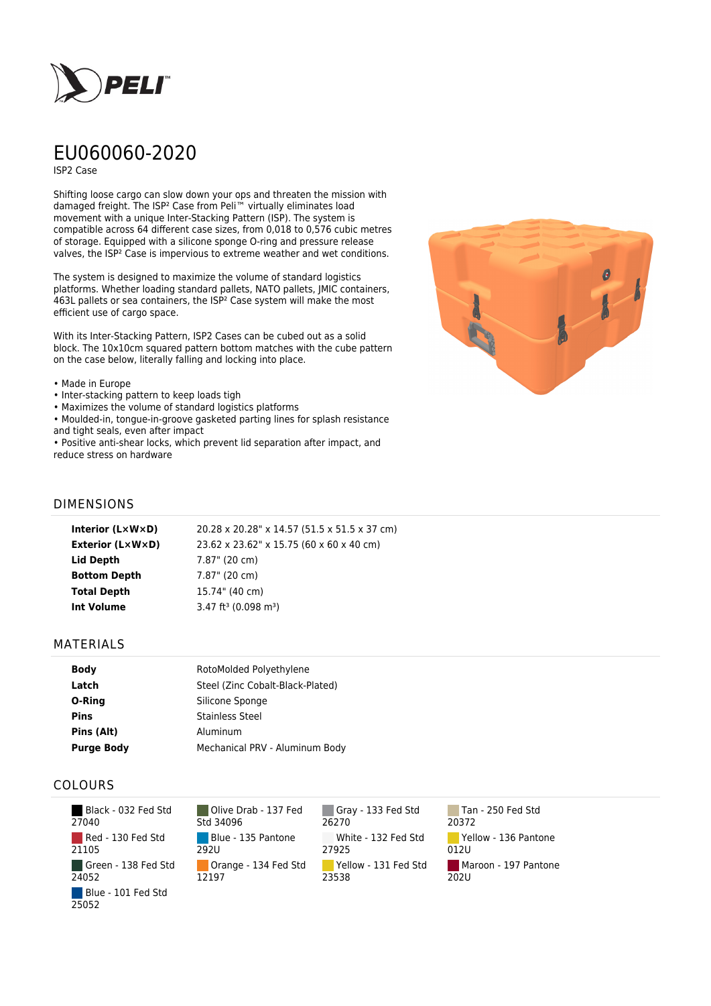

# EU060060-2020

ISP2 Case

Shifting loose cargo can slow down your ops and threaten the mission with damaged freight. The ISP² Case from Peli™ virtually eliminates load movement with a unique Inter-Stacking Pattern (ISP). The system is compatible across 64 different case sizes, from 0,018 to 0,576 cubic metres of storage. Equipped with a silicone sponge O-ring and pressure release valves, the ISP² Case is impervious to extreme weather and wet conditions.

The system is designed to maximize the volume of standard logistics platforms. Whether loading standard pallets, NATO pallets, JMIC containers, 463L pallets or sea containers, the ISP² Case system will make the most efficient use of cargo space.

With its Inter-Stacking Pattern, ISP2 Cases can be cubed out as a solid block. The 10x10cm squared pattern bottom matches with the cube pattern on the case below, literally falling and locking into place.

#### • Made in Europe

- Inter-stacking pattern to keep loads tigh
- Maximizes the volume of standard logistics platforms
- Moulded-in, tongue-in-groove gasketed parting lines for splash resistance and tight seals, even after impact

• Positive anti-shear locks, which prevent lid separation after impact, and reduce stress on hardware



### DIMENSIONS

| Interior (LxWxD)        | 20.28 x 20.28" x 14.57 (51.5 x 51.5 x 37 cm)   |
|-------------------------|------------------------------------------------|
| <b>Exterior (L×W×D)</b> | 23.62 x 23.62" x 15.75 (60 x 60 x 40 cm)       |
| Lid Depth               | 7.87" (20 cm)                                  |
| <b>Bottom Depth</b>     | 7.87" (20 cm)                                  |
| <b>Total Depth</b>      | 15.74" (40 cm)                                 |
| Int Volume              | $3.47$ ft <sup>3</sup> (0.098 m <sup>3</sup> ) |
|                         |                                                |

#### MATERIALS

| Body              | RotoMolded Polyethylene          |
|-------------------|----------------------------------|
| Latch             | Steel (Zinc Cobalt-Black-Plated) |
| O-Ring            | Silicone Sponge                  |
| <b>Pins</b>       | <b>Stainless Steel</b>           |
| Pins (Alt)        | Aluminum                         |
| <b>Purge Body</b> | Mechanical PRV - Aluminum Body   |

## COLOURS

 Black - 032 Fed Std 27040 Red - 130 Fed Std 21105 Green - 138 Fed Std 24052 Blue - 101 Fed Std 25052

Olive Drab - 137 Fed Std 34096 Blue - 135 Pantone 292U Orange - 134 Fed Std 12197

Gray - 133 Fed Std 26270 White - 132 Fed Std 27925 Yellow - 131 Fed Std 23538

Tan - 250 Fed Std 20372 Yellow - 136 Pantone 012U Maroon - 197 Pantone  $202U$